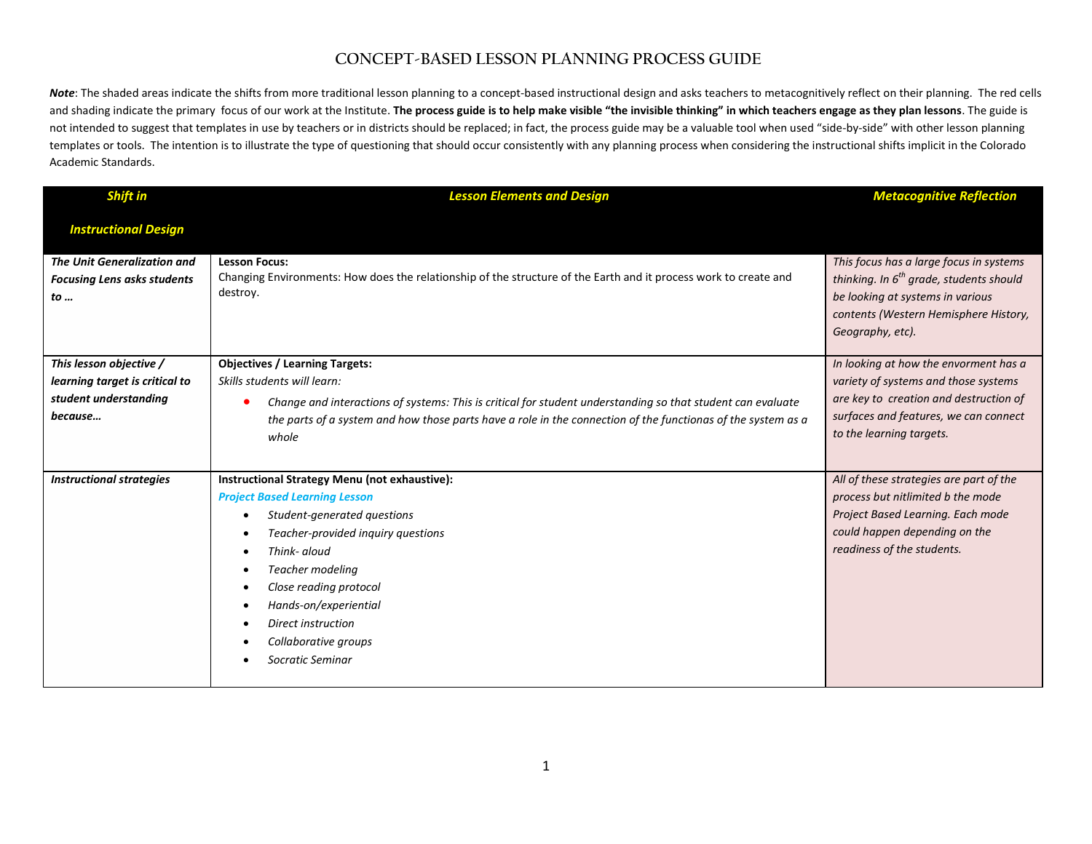## **CONCEPT-BASED LESSON PLANNING PROCESS GUIDE**

Note: The shaded areas indicate the shifts from more traditional lesson planning to a concept-based instructional design and asks teachers to metacognitively reflect on their planning. The red cells and shading indicate the primary focus of our work at the Institute. **The process guide is to help make visible "the invisible thinking" in which teachers engage as they plan lessons**. The guide is not intended to suggest that templates in use by teachers or in districts should be replaced; in fact, the process guide may be a valuable tool when used "side-by-side" with other lesson planning templates or tools. The intention is to illustrate the type of questioning that should occur consistently with any planning process when considering the instructional shifts implicit in the Colorado Academic Standards.

| Shift in                                                                                      | <b>Lesson Elements and Design</b>                                                                                                                                                                                                                                                                                                                    | <b>Metacognitive Reflection</b>                                                                                                                                                              |
|-----------------------------------------------------------------------------------------------|------------------------------------------------------------------------------------------------------------------------------------------------------------------------------------------------------------------------------------------------------------------------------------------------------------------------------------------------------|----------------------------------------------------------------------------------------------------------------------------------------------------------------------------------------------|
| <b>Instructional Design</b>                                                                   |                                                                                                                                                                                                                                                                                                                                                      |                                                                                                                                                                                              |
| <b>The Unit Generalization and</b><br><b>Focusing Lens asks students</b><br>to                | <b>Lesson Focus:</b><br>Changing Environments: How does the relationship of the structure of the Earth and it process work to create and<br>destroy.                                                                                                                                                                                                 | This focus has a large focus in systems<br>thinking. In $6^{th}$ grade, students should<br>be looking at systems in various<br>contents (Western Hemisphere History,<br>Geography, etc).     |
| This lesson objective /<br>learning target is critical to<br>student understanding<br>because | <b>Objectives / Learning Targets:</b><br>Skills students will learn:<br>Change and interactions of systems: This is critical for student understanding so that student can evaluate<br>the parts of a system and how those parts have a role in the connection of the functionas of the system as a<br>whole                                         | In looking at how the envorment has a<br>variety of systems and those systems<br>are key to creation and destruction of<br>surfaces and features, we can connect<br>to the learning targets. |
| <b>Instructional strategies</b>                                                               | Instructional Strategy Menu (not exhaustive):<br><b>Project Based Learning Lesson</b><br>Student-generated questions<br>$\bullet$<br>Teacher-provided inquiry questions<br>Think- aloud<br>Teacher modeling<br>Close reading protocol<br>$\bullet$<br>Hands-on/experiential<br><b>Direct instruction</b><br>Collaborative groups<br>Socratic Seminar | All of these strategies are part of the<br>process but nitlimited b the mode<br>Project Based Learning. Each mode<br>could happen depending on the<br>readiness of the students.             |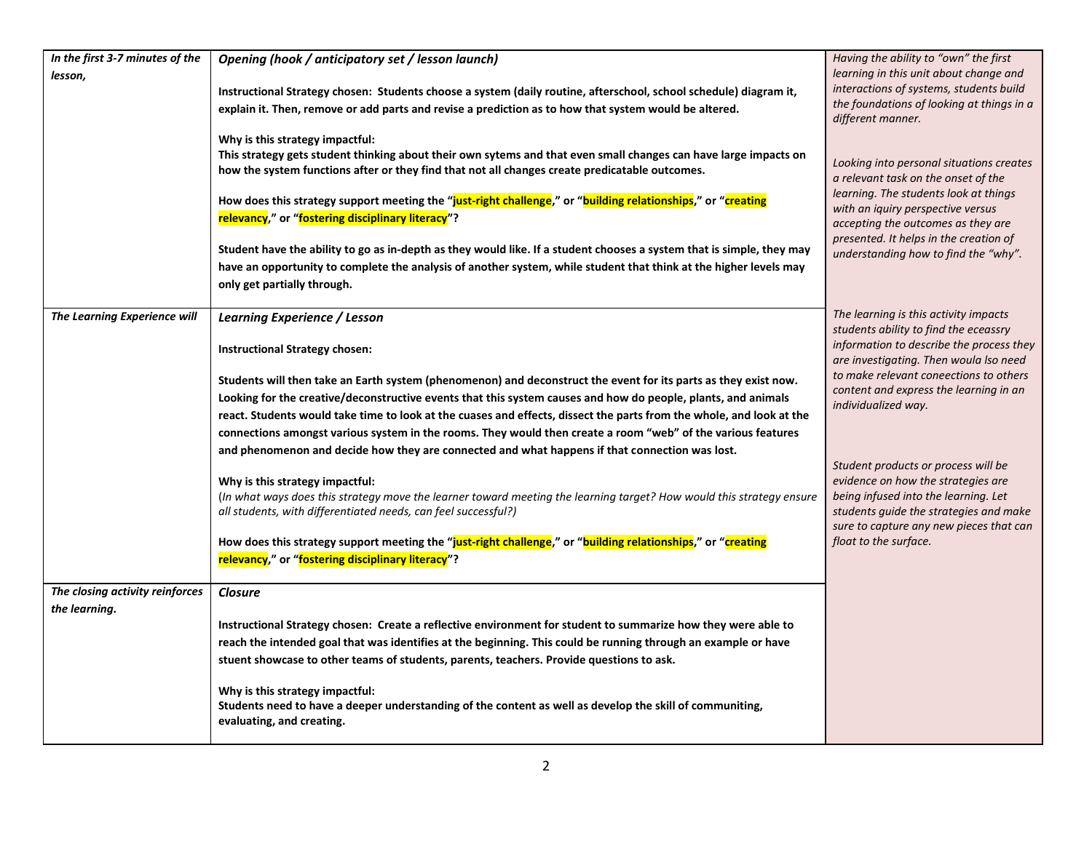| In the first 3-7 minutes of the | Opening (hook / anticipatory set / lesson launch)                                                                     | Having the ability to "own" the first                                             |
|---------------------------------|-----------------------------------------------------------------------------------------------------------------------|-----------------------------------------------------------------------------------|
| lesson,                         |                                                                                                                       | learning in this unit about change and                                            |
|                                 | Instructional Strategy chosen: Students choose a system (daily routine, afterschool, school schedule) diagram it,     | interactions of systems, students build                                           |
|                                 | explain it. Then, remove or add parts and revise a prediction as to how that system would be altered.                 | the foundations of looking at things in a<br>different manner.                    |
|                                 | Why is this strategy impactful:                                                                                       |                                                                                   |
|                                 | This strategy gets student thinking about their own sytems and that even small changes can have large impacts on      | Looking into personal situations creates                                          |
|                                 | how the system functions after or they find that not all changes create predicatable outcomes.                        | a relevant task on the onset of the                                               |
|                                 | How does this strategy support meeting the "just-right challenge," or "building relationships," or "creating          | learning. The students look at things                                             |
|                                 | relevancy," or "fostering disciplinary literacy"?                                                                     | with an iquiry perspective versus                                                 |
|                                 |                                                                                                                       | accepting the outcomes as they are<br>presented. It helps in the creation of      |
|                                 | Student have the ability to go as in-depth as they would like. If a student chooses a system that is simple, they may | understanding how to find the "why".                                              |
|                                 | have an opportunity to complete the analysis of another system, while student that think at the higher levels may     |                                                                                   |
|                                 | only get partially through.                                                                                           |                                                                                   |
|                                 |                                                                                                                       |                                                                                   |
| The Learning Experience will    | <b>Learning Experience / Lesson</b>                                                                                   | The learning is this activity impacts<br>students ability to find the eceassry    |
|                                 | <b>Instructional Strategy chosen:</b>                                                                                 | information to describe the process they                                          |
|                                 |                                                                                                                       | are investigating. Then woula Iso need                                            |
|                                 | Students will then take an Earth system (phenomenon) and deconstruct the event for its parts as they exist now.       | to make relevant coneections to others                                            |
|                                 | Looking for the creative/deconstructive events that this system causes and how do people, plants, and animals         | content and express the learning in an                                            |
|                                 | react. Students would take time to look at the cuases and effects, dissect the parts from the whole, and look at the  | individualized way.                                                               |
|                                 | connections amongst various system in the rooms. They would then create a room "web" of the various features          |                                                                                   |
|                                 | and phenomenon and decide how they are connected and what happens if that connection was lost.                        |                                                                                   |
|                                 |                                                                                                                       | Student products or process will be                                               |
|                                 | Why is this strategy impactful:                                                                                       | evidence on how the strategies are                                                |
|                                 | (In what ways does this strategy move the learner toward meeting the learning target? How would this strategy ensure  | being infused into the learning. Let                                              |
|                                 | all students, with differentiated needs, can feel successful?)                                                        | students guide the strategies and make<br>sure to capture any new pieces that can |
|                                 | How does this strategy support meeting the "just-right challenge," or "building relationships," or "creating          | float to the surface.                                                             |
|                                 | relevancy," or "fostering disciplinary literacy"?                                                                     |                                                                                   |
|                                 |                                                                                                                       |                                                                                   |
| The closing activity reinforces | <b>Closure</b>                                                                                                        |                                                                                   |
| the learning.                   |                                                                                                                       |                                                                                   |
|                                 | Instructional Strategy chosen: Create a reflective environment for student to summarize how they were able to         |                                                                                   |
|                                 | reach the intended goal that was identifies at the beginning. This could be running through an example or have        |                                                                                   |
|                                 | stuent showcase to other teams of students, parents, teachers. Provide questions to ask.                              |                                                                                   |
|                                 | Why is this strategy impactful:                                                                                       |                                                                                   |
|                                 | Students need to have a deeper understanding of the content as well as develop the skill of communiting,              |                                                                                   |
|                                 | evaluating, and creating.                                                                                             |                                                                                   |
|                                 |                                                                                                                       |                                                                                   |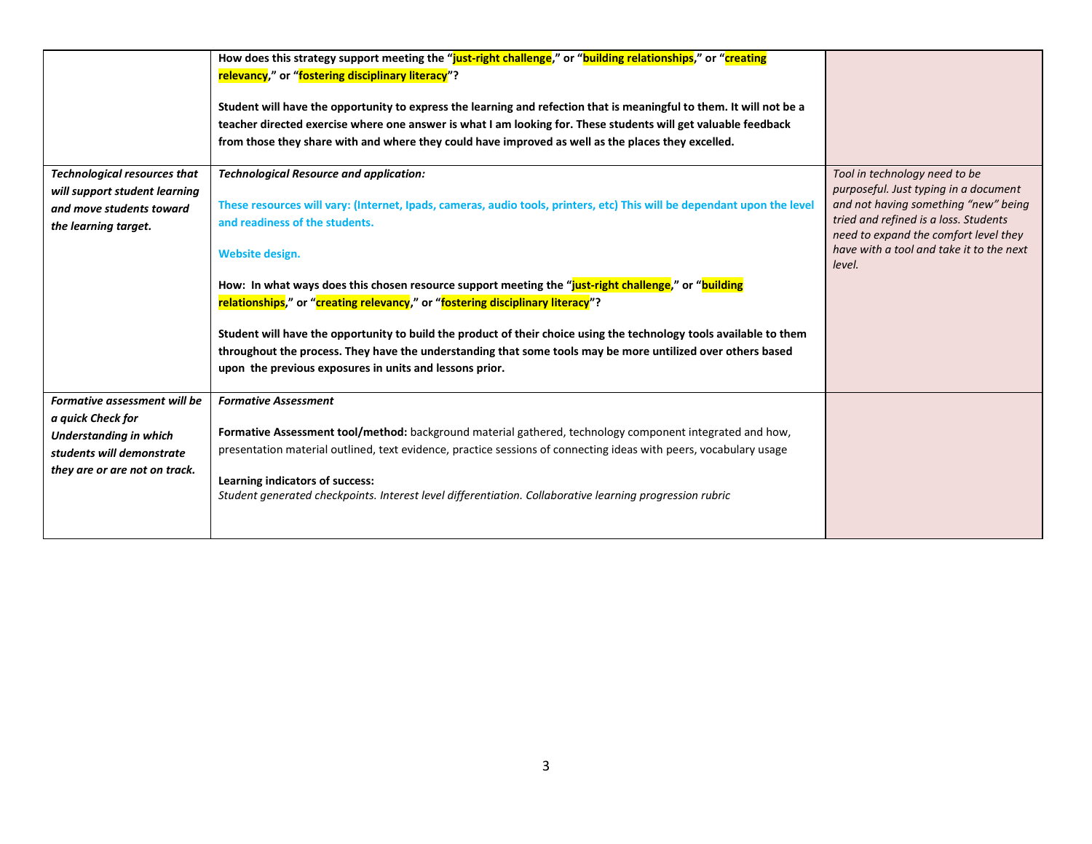|                                                           | How does this strategy support meeting the "just-right challenge," or "building relationships," or "creating<br>relevancy," or "fostering disciplinary literacy"?<br>Student will have the opportunity to express the learning and refection that is meaningful to them. It will not be a<br>teacher directed exercise where one answer is what I am looking for. These students will get valuable feedback<br>from those they share with and where they could have improved as well as the places they excelled. |                                                                                             |
|-----------------------------------------------------------|-------------------------------------------------------------------------------------------------------------------------------------------------------------------------------------------------------------------------------------------------------------------------------------------------------------------------------------------------------------------------------------------------------------------------------------------------------------------------------------------------------------------|---------------------------------------------------------------------------------------------|
| <b>Technological resources that</b>                       | <b>Technological Resource and application:</b>                                                                                                                                                                                                                                                                                                                                                                                                                                                                    | Tool in technology need to be<br>purposeful. Just typing in a document                      |
| will support student learning<br>and move students toward | These resources will vary: (Internet, Ipads, cameras, audio tools, printers, etc) This will be dependant upon the level                                                                                                                                                                                                                                                                                                                                                                                           | and not having something "new" being                                                        |
| the learning target.                                      | and readiness of the students.                                                                                                                                                                                                                                                                                                                                                                                                                                                                                    | tried and refined is a loss. Students                                                       |
|                                                           | Website design.                                                                                                                                                                                                                                                                                                                                                                                                                                                                                                   | need to expand the comfort level they<br>have with a tool and take it to the next<br>level. |
|                                                           | How: In what ways does this chosen resource support meeting the "just-right challenge," or "building<br>relationships," or "creating relevancy," or "fostering disciplinary literacy"?                                                                                                                                                                                                                                                                                                                            |                                                                                             |
|                                                           | Student will have the opportunity to build the product of their choice using the technology tools available to them                                                                                                                                                                                                                                                                                                                                                                                               |                                                                                             |
|                                                           | throughout the process. They have the understanding that some tools may be more untilized over others based                                                                                                                                                                                                                                                                                                                                                                                                       |                                                                                             |
|                                                           | upon the previous exposures in units and lessons prior.                                                                                                                                                                                                                                                                                                                                                                                                                                                           |                                                                                             |
| Formative assessment will be                              | <b>Formative Assessment</b>                                                                                                                                                                                                                                                                                                                                                                                                                                                                                       |                                                                                             |
| a quick Check for<br><b>Understanding in which</b>        | Formative Assessment tool/method: background material gathered, technology component integrated and how,                                                                                                                                                                                                                                                                                                                                                                                                          |                                                                                             |
| students will demonstrate                                 | presentation material outlined, text evidence, practice sessions of connecting ideas with peers, vocabulary usage                                                                                                                                                                                                                                                                                                                                                                                                 |                                                                                             |
| they are or are not on track.                             |                                                                                                                                                                                                                                                                                                                                                                                                                                                                                                                   |                                                                                             |
|                                                           | Learning indicators of success:<br>Student generated checkpoints. Interest level differentiation. Collaborative learning progression rubric                                                                                                                                                                                                                                                                                                                                                                       |                                                                                             |
|                                                           |                                                                                                                                                                                                                                                                                                                                                                                                                                                                                                                   |                                                                                             |